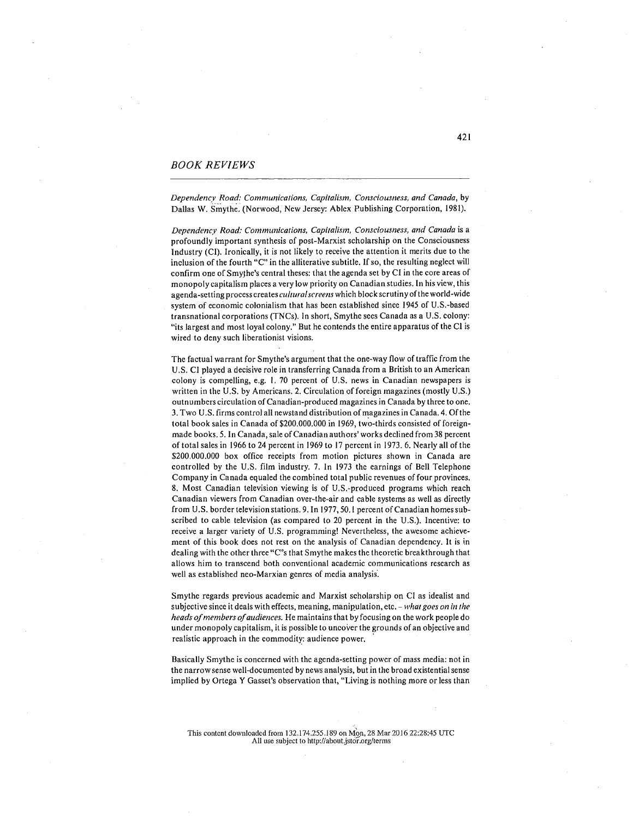## *BOOK REVIEWS*

*Dependency ••Road. Communications, Capitalism, Consciousness, and Canada, by* Dallas W. Smythe. (Norwood, New Jersey: Ablex Publishing Corporation, 1981).

*Dependency Road: Communications, Capitalism, Consciousness, and Canada is a* profoundly important synthesis of post-Marxist scholarship on the Consciousness Industry (CI). Ironically, it is not likely to receive the attention it merits due to the inclusion of the fourth "C" in the alliterative subtitle. If so, the resulting neglect will confirm one of Smythe's central theses: that the agenda set by CI in the core areas of monopoly capitalism places a very low priority on Canadian studies. In his view, this agenda-setting process creates *cultural screens* which block scrutiny of the world-wide system of economic colonialism that has been established since 1945 of U.S.-based transnational corporations (TNCs). In short, Smythe sees Canada as a U.S. colony: "its largest and most loyal colony." But he contends the entire apparatus of the Cl is wired to deny such liberationist visions.

The factual warrant for Smythe's argument that the one-way flow of traffic from the U.S. Cl played a decisive role in transferring Canada from a British to an American colony is compelling, e.g. I. 70 percent of U.S. news in Canadian newspapers is written in the U.S. by Americans. 2. Circulation of foreign magazines (mostly U.S.) outnumbers circulation of Canadian-produced magazines in Canada by three to one. 3. Two U.S. firms control all newstand distribution of magazines in Canada. 4. Of the total book sales in Canada of \$200.000.000 in 1969, two-thirds consisted of foreignmade books. 5. In Canada, sale of Canadian authors' works declined from 38 percent of total sales in 1966 to 24 percent in 1969 to 17 percent in 1973. 6. Nearly all of the S200.000.000 box office receipts from motion pictures shown in Canada are controlled by the U.S. film industry. 7. In 1973 the earnings of Bell Telephone Company in Canada equaled the combined total public revenues of four provinces. 8. Most Canadian television viewing is of U.S.-produced programs which reach Canadian viewers from Canadian over-the-air and cable systems as well as directly from U.S. border television stations. 9. In 1977, 50.1 percent of Canadian homes subscribed to cable television (as compared to 20 percent in the U.S.). Incentive: to receive a larger variety of U.S. programming! Nevertheless, the awesome achievement of this book does not rest on the analysis of Canadian dependency. It is in dealing with the other three "C"s that Smythe makes the theoretic breakthrough that allows him to transcend both conventional academic communications research as well as established neo-Marxian genres of media analysis.

Smythe regards previous academic and Marxist scholarship on CI as idealist and subjective since it deals with effects, meaning, manipulation, etc. - *what goes on in the heads of members of audiences.* He maintains that by focusing on the work people do under monopoly capitalism, it is possible to uncover the grounds of an objective and realistic approach in the commodity: audience power.

Basically Smythe is concerned with the agenda-setting power of mass media: not in the narrow sense well-documented by news analysis, but in the broad existential sense implied by Ortega Y Gasset's observation that, "Living is nothing more or less than

This content downloaded from 132.174.255.189 on Mon, 28 Mar 2016 22:28:45 UTC All use subject to http://about.jstor.org/terms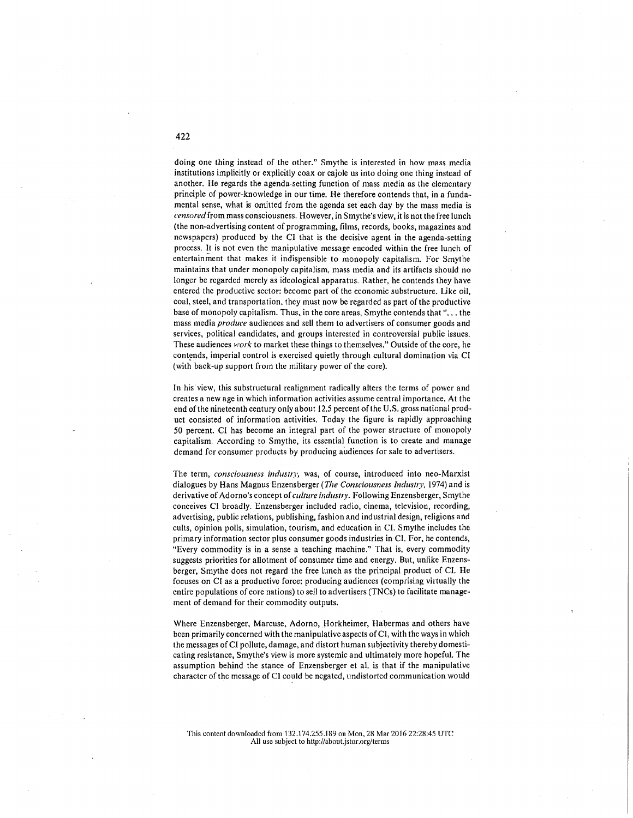doing one thing instead of the other." Smythe is interested in how mass media institutions implicitly or explicitly coax or cajole us into doing one thing instead of another. He regards the agenda-setting function of mass media as the elementary principle of power-knowledge in our time. He therefore contends that, in a fundamental sense, what is omitted from the agenda set each day by the mass media is *censored* from mass consciousness. However, in Smythe's view, it is not the free lunch (the non-advertising content of programming, films, records, books, magazines and newspapers) produced by the CI that is the decisive agent in the agenda-setting process. It is not even the manipulative message encoded within the free lunch of entertainment that makes it indispensible to monopoly capitalism. For Smythe maintains that under monopoly capitalism, mass media and its artifacts should no longer be regarded merely as ideological apparatus. Rather, he contends they have entered the productive sector: become part of the economic substructure. Like oil, coal, steel, and transportation, they must now be regarded as part of the productive base of monopoly capitalism. Thus, in the core areas, Smythe contends that "... the mass media *produce* audiences and sell them to advertisers of consumer goods and services, political candidates, and groups interested in controversial public issues. These audiences *work* to market these things to themselves." Outside of the core, he contends, imperial control is exercised quietly through cultural domination via Cl (with back-up support from the military power of the core).

In his view, this substructural realignment radically alters the terms of power and creates a new age in which information activities assume central importance. At the end of the nineteenth century only about 12.5 percent of the U.S, gross national product consisted of information activities, Today the figure is rapidly approaching 50 percent. Cl has become an integral part of the power structure of monopoly capitalism. According to Smythe, its essential function is to create and manage demand for consumer products by producing audiences for sale to advertisers.

The term, *consciousness industry,* was, of course, introduced into neo-Marxist dialogues by Hans Magnus Enzensberger *(The Consciousness Industry,* 1974) and is derivative of Adorno's concept of *culture industry.* Following Enzensberger, Smythe conceives Cl broadly. Enzensberger included radio, cinema, television, recording, advertising, public relations, publishing, fashion and industrial design, religions and cults, opinion polls, simulation, tourism, and education in CI. Smythe includes the primary information sector plus consumer goods industries in Cl. For, he contends, "Every commodity is in a sense a teaching machine." That is, every commodity suggests priorities for allotment of consumer time and energy. But, unlike Enzensberger, Smythe does not regard the free lunch as the principal product of Cl. He focuses on Cl as a productive force: producing audiences (comprising virtually the entire populations of core nations) to sell to advertisers (TNCs) to facilitate management of demand for their commodity outputs.

Where Enzensberger, Marcuse, Adorno, Horkheimer, Habermas and others have been primarily concerned with the manipulative aspects of Cl, with the ways in which the messages of CI pollute, damage, and distort human subjectivity thereby domesticating resistance, Smythe's view is more systemic and ultimately more hopeful. The assumption behind the stance of Enzensberger et al. is that if the manipulative character of the message of CI could be negated, undistorted communication would

This content downloaded from 132.174.255.189 on Mon, 28 Mar 2016 22:28:45 UTC All use subject to http://about.jstor.org/terms

422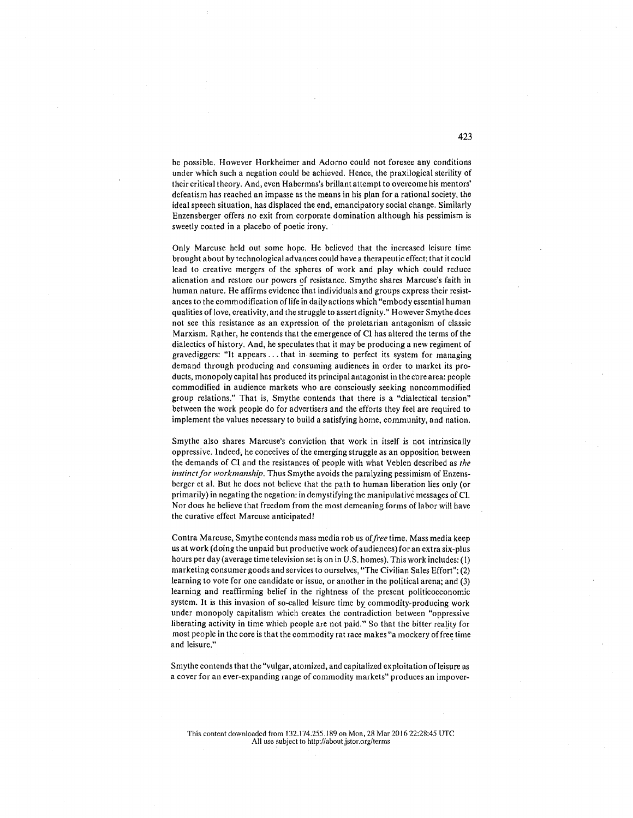be possible. However Horkheimer and Adorno could not foresee any conditions under which such a negation could be achieved. Hence, the praxilogical sterility of their critical theory. And, even Habermas's brillant attempt to overcome his mentors' defeatism has reached an impasse as the means in his plan for a rational society, the ideal speech situation, has displaced the end, emancipatory social change. Similarly Enzensberger offers no exit from corporate domination although his pessimism is sweetly coated in a placebo of poetic irony.

Only Marcuse held out some hope. He believed that the increased leisure time brought about by technological advances could have a therapeutic effect: that it could lead to creative mergers of the spheres of work and play which could reduce alienation and restore our powers of resistance. Smythe shares Marcuse's faith in human nature. He affirms evidence that individuals and groups express their resistances to the commodification of life in daily actions which "embody essential human qualities of love, creativity, and the struggle to assert dignity." However Smythe does not see this resistance as an expression of the proletarian antagonism of classic Marxism. Rather, he contends that the emergence of Cl has altered the terms of the dialectics of history. And, he speculates that it may be producing a new regiment of gravediggers: "It appears  $\dots$  that in seeming to perfect its system for managing demand through producing and consuming audiences in order to market its products, monopoly capital has produced its principal antagonist in the core area: people commodified in audience markets who are consciously seeking noncommodified group relations." That is, Smythe contends that there is a "dialectical tension" between the work people do for advertisers and the efforts they feel are required to implement the values necessary to build a satisfying home, community, and nation.

Smythe also shares Marcuse's conviction that work in itself is not intrinsically oppressive. Indeed, he conceives of the emerging struggle as an opposition between the demands of Cl and the resistances of people with what Veblen described as *the instinct for workmanship.* Thus Smythe avoids the paralyzing pessimism of Enzensberger et al. But he does not believe that the path to human liberation lies only (or primarily) in negating the negation: in demystifying the manipulative messages of Cl. Nor does he believe that freedom from the most demeaning forms of labor will have the curative effect Marcuse anticipated!

Contra Marcuse, Smythe contends mass media rob us *offree* time. Mass media keep us at work (doing the unpaid but productive work of audiences) for an extra six-plus hours per day (average time television set is on in U.S. homes). This work includes: (I) marketing consumer goods and services to ourselves, "The Civilian Sales Effort"; (2) learning to vote for one candidate or issue, or another in the political arena; and (3) learning and reaffirming belief in the rightness of the present politicoeconomic system. It is this invasion of so-called leisure time by commodity-producing work under monopoly capitalism which creates the contradiction between "oppressive liberating activity in time which people are not paid." So that the bitter reality for most people in the core is that the commodity rat race makes "a mockery of free time and leisure."

Smythe contends that the "vulgar, atomized, and capitalized exploitation of leisure as a cover for an ever-expanding range of commodity markets" produces an impover-

This content downloaded from 132.174.255.189 on Mon, 28 Mar 2016 22:28:45 UTC All use subject to http://about.jstor.org/terms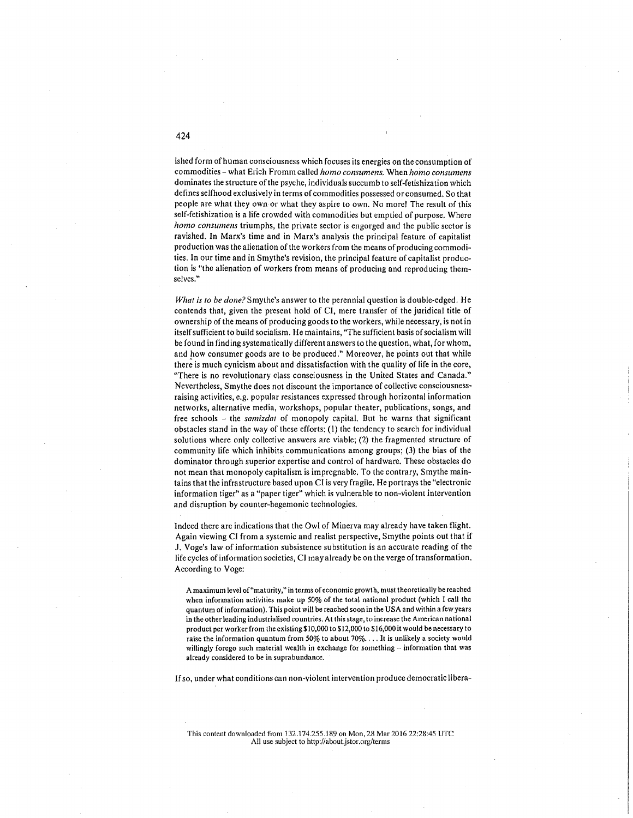ished form of human consciousness which focuses its energies on the consumption of commodities - what Erich Fromm called *homo consumens.* When *homo consumens* dominates the structure of the psyche, individuals succumb to self-fetishization which defines selfhood exclusively in terms of commodities possessed or consumed. So that people are what they own or what they aspire to own. No more! The result of this self-fetishization is a life crowded with commodities but emptied of purpose. Where *homo consumens* triumphs, the private sector is engorged and the public sector is ravished. In Marx's time and in Marx's analysis the principal feature of capitalist production was the alienation of the workers from the means of producing commodities. In our time and in Smythe's revision, the principal feature of capitalist production is "the alienation of workers from means of producing and reproducing themselves."

*What is to be done?Smythe's* answer to the perennial question is double-edged. He contends that, given the present hold of Cl, mere transfer of the juridical title of ownership of the means of producing goods to the workers, while necessary, is not in itself sufficient to build socialism. He maintains, "The sufficient basis of socialism will be found in finding systematically different answers to the question, what, for whom, and how consumer goods are to be produced." Moreover, he points out that while there is much cynicism about and dissatisfaction with the quality of life in the core, "There is no revolutionary class consciousness in the United States and Canada." Nevertheless, Smythe does not discount the importance of collective consciousnessraising activities, e.g. popular resistances expressed through horizontal information networks, alternative media, workshops, popular theater, publications, songs, and free schools - the *samizdat* of monopoly capital. But he warns that significant obstacles stand in the way of these efforts:  $(1)$  the tendency to search for individual solutions where only collective answers are viable; (2) the fragmented structure of community life which inhibits communications among groups; (3) the bias of the dominator through superior expertise and control of hardware. These obstacles do not mean that monopoly capitalism is impregnable. To the contrary, Smythe maintains that the infrastructure based upon Cl is very fragile. He portrays the "electronic information tiger" as a "paper tiger" which is vulnerable to non-violent intervention and disruption by counter-hegemonic technologies.

Indeed there are indications that the Owl of Minerva may already have taken flight. Again viewing Cl from a systemic and realist perspective, Smythe points out that if J. Voge's law of information subsistence substitution is an accurate reading of the life cycles of information societies, CI may already be on the verge of transformation. According to Voge:

A maximum level of "maturity," in terms of economic growth, must theoretically be reached when information activities make up 50% of the total national product (which I call the quantum of information). This point will be reached soon in the USA and within a few years in the other leading industrialised countries. At this stage, to increase the American national product per worker from the existing \$10,000 to \$12,000 to \$16,000 it would be necessary to raise the information quantum from 50% to about  $70\%$ ... It is unlikely a society would willingly forego such material wealth in exchange for something — information that was already considered to be in suprabundance.

If so, under what conditions can non-violent intervention produce democratic libera-

This content downloaded from 132.174.255,189 on Mon, 28 Mar 2016 22:28:45 UTC All use subject to http://about.jstor.org/terms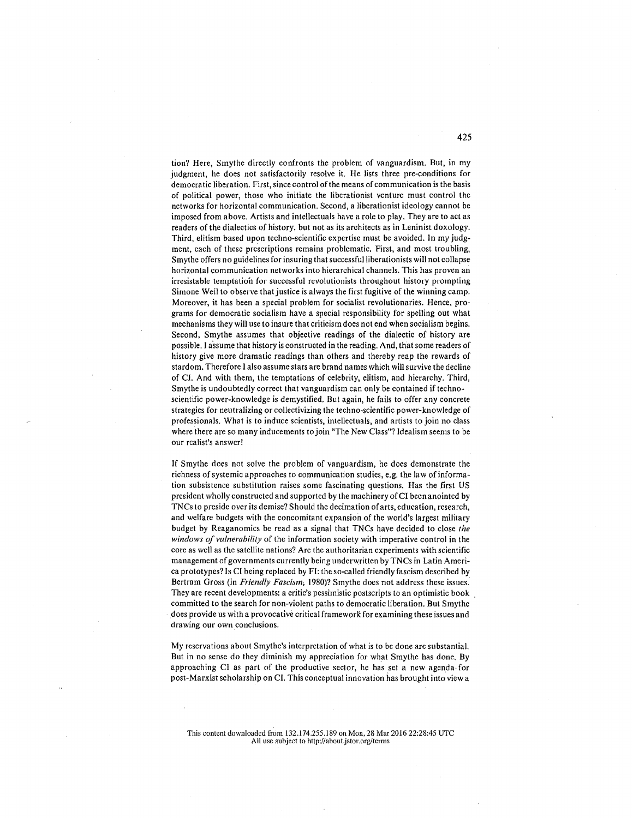tion? Here, Smythe directly confronts the problem of vanguardism. But, in my judgment, he does not satisfactorily resolve it. He lists three pre-conditions for democratic liberation. First, since control of the means of communication is the basis of political power, those who initiate the liberationist venture must control the networks for horizontal communication. Second, a liberationist ideology cannot be imposed from above. Artists and intellectuals have a role to play. They are to act as readers of the dialectics of history, but not as its architects as in Leninist doxology. Third, elitism based upon techno-scientific expertise must be avoided. In my judgment, each of these prescriptions remains problematic. First, and most troubling, Smythe offers no guidelines for insuring that successful liberationists will not collapse horizontal communication networks into hierarchical channels. This has proven an irresistable temptation for successful revolutionists throughout history prompting Simone Weil to observe that justice is always the first fugitive of the winning camp. Moreover, it has been a special problem for socialist revolutionaries. Hence, programs for democratic socialism have a special responsibility for spelling out what mechanisms they will use to insure that criticism does not end when socialism begins. Second, Smythe assumes that objective readings of the dialectic of history are possible. I assume that history is constructed in the reading. And, that some readers of history give more dramatic readings than others and thereby reap the rewards of stardom. Therefore I also assume stars are brand names which will survive the decline of Cl, And with them, the temptations of celebrity, elitism, and hierarchy. Third, Smythe is undoubtedly correct that vanguardism can only be contained if technoscientific power-knowledge is demystified. But again, he fails to offer any concrete strategies for neutralizing or collectivizing the techno-scientific power-knowledge of professionals. What is to induce scientists, intellectuals, and artists to join no class where there are so many inducements to join "The New Class"? Idealism seems to be our realist's answer!

If Smythe does not solve the problem of vanguardism, he does demonstrate the richness of systemic approaches to communication studies, e.g. the law of information subsistence substitution raises some fascinating questions. Has the first US president wholly constructed and supported by the machinery of Cl been anointed by TNCs to preside over its demise? Should the decimation of arts, education, research, and welfare budgets with the concomitant expansion of the world's largest military budget by Reaganomics be read as a signal that TNCs have decided to close *the windows of vulnerability* of the information society with imperative control in the core as well as the satellite nations? Are the authoritarian experiments with scientific management of governments currently being underwritten by TNCs in Latin America prototypes? Is Cl being replaced by FI: the so-called friendly fascism described by Bertram Gross (in *Friendly Fascism*, 1980)? Smythe does not address these issues. They are recent developments: a critic's pessimistic postscripts to an optimistic book committed to the search for non-violent paths to democratic liberation. But Smythe does provide us with a provocative critical framework for examining these issues and drawing our own conclusions.

My reservations about Smythe's interpretation of what is to be done are substantial. But in no sense do they diminish my appreciation for what Smythe has done. By approaching CI as part of the productive sector, he has set a new agenda for post-Marxist scholarship on Cl. This conceptual innovation has brought into view a

This content downloaded from 132.174255.189 on Mon, 28 Mar 2016 22:28:45 UTC All use subject to http://about.jstor.org/terms

425